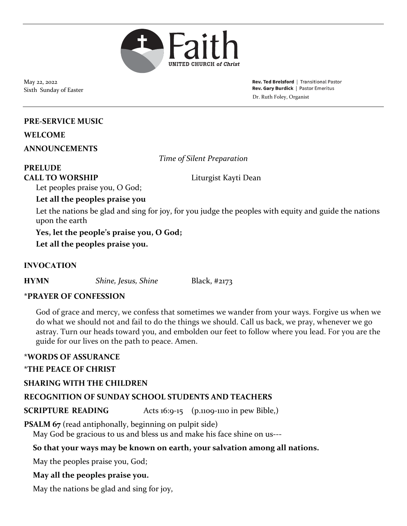

May 22, 2022 Sixth Sunday of Easter

Rev. Ted Brelsford | Transitional Pastor Rev. Gary Burdick | Pastor Emeritus Dr. Ruth Foley, Organist

#### **PRE-SERVICE MUSIC**

#### **WELCOME**

**ANNOUNCEMENTS**

*Time of Silent Preparation*

# **PRELUDE**

**CALL TO WORSHIP** Liturgist Kayti Dean

Let peoples praise you, O God;

**Let all the peoples praise you**

Let the nations be glad and sing for joy, for you judge the peoples with equity and guide the nations upon the earth

**Yes, let the people's praise you, O God;**

**Let all the peoples praise you.**

#### **INVOCATION**

**HYMN** *Shine, Jesus, Shine* Black, #2173

#### **\*PRAYER OF CONFESSION**

God of grace and mercy, we confess that sometimes we wander from your ways. Forgive us when we do what we should not and fail to do the things we should. Call us back, we pray, whenever we go astray. Turn our heads toward you, and embolden our feet to follow where you lead. For you are the guide for our lives on the path to peace. Amen.

#### **\*WORDS OF ASSURANCE**

#### **\*THE PEACE OF CHRIST**

#### **SHARING WITH THE CHILDREN**

## **RECOGNITION OF SUNDAY SCHOOL STUDENTS AND TEACHERS**

**SCRIPTURE READING** Acts 16:9-15 (p.1109-1110 in pew Bible,)

**PSALM 67** (read antiphonally, beginning on pulpit side)

May God be gracious to us and bless us and make his face shine on us---

#### **So that your ways may be known on earth, your salvation among all nations.**

May the peoples praise you, God;

#### **May all the peoples praise you.**

May the nations be glad and sing for joy,